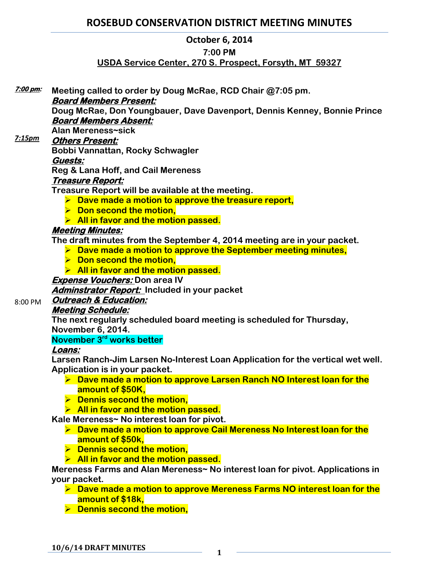# **ROSEBUD CONSERVATION DISTRICT MEETING MINUTES**

### **October 6, 2014**

#### **7:00 PM**

### **USDA Service Center, 270 S. Prospect, Forsyth, MT 59327**

**Meeting called to order by Doug McRae, RCD Chair @7:05 pm. Board Members Present: Doug McRae, Don Youngbauer, Dave Davenport, Dennis Kenney, Bonnie Prince Board Members Absent: Alan Mereness~sick Others Present: Bobbi Vannattan, Rocky Schwagler Guests: Reg & Lana Hoff, and Cail Mereness Treasure Report: Treasure Report will be available at the meeting. Dave made a motion to approve the treasure report,**   $\triangleright$  Don second the motion, **All in favor and the motion passed. Meeting Minutes: The draft minutes from the September 4, 2014 meeting are in your packet. Dave made a motion to approve the September meeting minutes, Don second the motion, All in favor and the motion passed. Expense Vouchers: Don area IV Adminstrator Report: Included in your packet Outreach & Education: Meeting Schedule: The next regularly scheduled board meeting is scheduled for Thursday, November 6, 2014. November 3rd works better Loans: Larsen Ranch-Jim Larsen No-Interest Loan Application for the vertical wet well. Application is in your packet. Dave made a motion to approve Larsen Ranch NO Interest loan for the amount of \$50K,**  $\triangleright$  Dennis second the motion. **All in favor and the motion passed. Kale Mereness~ No interest loan for pivot. Dave made a motion to approve Cail Mereness No Interest loan for the amount of \$50k,**   $\triangleright$  Dennis second the motion, **All in favor and the motion passed. Mereness Farms and Alan Mereness~ No interest loan for pivot. Applications in your packet. Dave made a motion to approve Mereness Farms NO interest loan for the amount of \$18k,**   $\triangleright$  Dennis second the motion, **7:00 pm:**  *7:15pm* 8:00 PM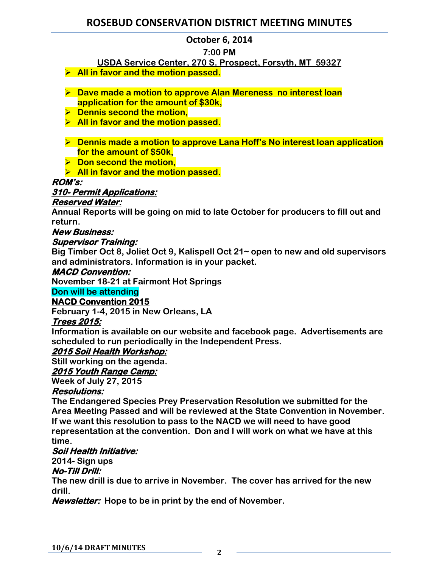# **ROSEBUD CONSERVATION DISTRICT MEETING MINUTES**

### **October 6, 2014**

### **7:00 PM**

### **USDA Service Center, 270 S. Prospect, Forsyth, MT 59327**

- **All in favor and the motion passed.**
- **Dave made a motion to approve Alan Mereness no interest loan application for the amount of \$30k,**
- $\triangleright$  Dennis second the motion,
- **All in favor and the motion passed.**
- **Dennis made a motion to approve Lana Hoff's No interest loan application for the amount of \$50k,**
- **▶ Don second the motion,**

**All in favor and the motion passed.** 

### **ROM's:**

### **310- Permit Applications:**

#### **Reserved Water:**

**Annual Reports will be going on mid to late October for producers to fill out and return.** 

### **New Business:**

#### **Supervisor Training:**

**Big Timber Oct 8, Joliet Oct 9, Kalispell Oct 21~ open to new and old supervisors and administrators. Information is in your packet.**

#### **MACD Convention:**

**November 18-21 at Fairmont Hot Springs**

#### **Don will be attending**

#### **NACD Convention 2015**

**February 1-4, 2015 in New Orleans, LA**

#### **Trees 2015:**

**Information is available on our website and facebook page. Advertisements are scheduled to run periodically in the Independent Press.** 

#### **2015 Soil Health Workshop:**

**Still working on the agenda.** 

#### **2015 Youth Range Camp:**

**Week of July 27, 2015**

#### **Resolutions:**

**The Endangered Species Prey Preservation Resolution we submitted for the Area Meeting Passed and will be reviewed at the State Convention in November. If we want this resolution to pass to the NACD we will need to have good representation at the convention. Don and I will work on what we have at this time.** 

#### **Soil Health Initiative:**

### **2014- Sign ups**

#### **No-Till Drill:**

**The new drill is due to arrive in November. The cover has arrived for the new drill.** 

**Newsletter: Hope to be in print by the end of November.**